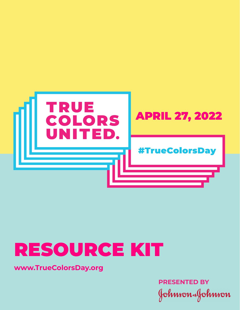

# RESOURCE KIT

**www.TrueColorsDay.org**

**PRESENTED BY**Johnson&Johnson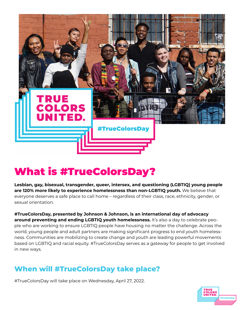

# What is #TrueColorsDay?

**Lesbian, gay, bisexual, transgender, queer, intersex, and questioning (LGBTIQ) young people are 120% more likely to experience homelessness than non-LGBTIQ youth.** We believe that everyone deserves a safe place to call home – regardless of their class, race, ethnicity, gender, or sexual orientation.

**#TrueColorsDay, presented by Johnson & Johnson, is an international day of advocacy around preventing and ending LGBTIQ youth homelessness.** It's also a day to celebrate people who are working to ensure LGBTIQ people have housing no matter the challenge. Across the world, young people and adult partners are making significant progress to end youth homelessness. Communities are mobilizing to create change and youth are leading powerful movements based on LGBTIQ and racial equity. #TrueColorsDay serves as a gateway for people to get involved in new ways.

# **When will #TrueColorsDay take place?**

#TrueColorsDay will take place on Wednesday, April 27, 2022.

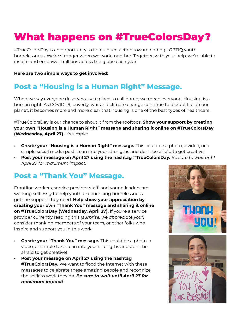# What happens on #TrueColorsDay?

#TrueColorsDay is an opportunity to take united action toward ending LGBTIQ youth homelessness. We're stronger when we work together. Together, with your help, we're able to inspire and empower millions across the globe each year.

#### **Here are two simple ways to get involved:**

# **Post a "Housing is a Human Right" Message.**

When we say everyone deserves a safe place to call home, we mean everyone. Housing is a human right. As COVID-19, poverty, war and climate change continue to disrupt life on our planet, it becomes more and more clear that housing is one of the best types of healthcare.

#TrueColorsDay is our chance to shout it from the rooftops. **Show your support by creating your own "Housing is a Human Right" message and sharing it online on #TrueColorsDay (Wednesday, April 27)**. It's simple:

- **Create your "Housing is a Human Right" message.** This could be a photo, a video, or a simple social media post. Lean into your strengths and don't be afraid to get creative!
- **Post your message on April 27 using the hashtag #TrueColorsDay.** *Be sure to wait until April 27 for maximum impact!*

### **Post a "Thank You" Message.**

Frontline workers, service provider staff, and young leaders are working selflessly to help youth experiencing homelessness get the support they need. **Help show your appreciation by creating your own "Thank You" message and sharing it online on #TrueColorsDay (Wednesday, April 27).** If you're a service provider currently reading this *(surprise, we appreciate you!)* consider thanking members of your team, or other folks who inspire and support you in this work.

- **• Create your "Thank You" message.** This could be a photo, a video, or simple text. Lean into your strengths and don't be afraid to get creative!
- **• Post your message on April 27 using the hashtag #TrueColorsDay.** We want to flood the Internet with these messages to celebrate these amazing people and recognize the selfless work they do. *Be sure to wait until April 27 for maximum impact!*

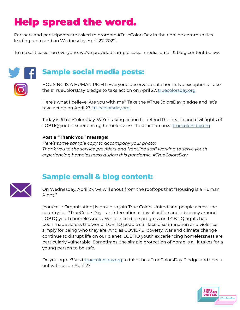# Help spread the word.

Partners and participants are asked to promote #TrueColorsDay in their online communities leading up to and on Wednesday, April 27, 2022.

To make it easier on everyone, we've provided sample social media, email & blog content below:

# **Sample social media posts:**

HOUSING IS A HUMAN RIGHT. Everyone deserves a safe home. No exceptions. Take the #TrueColorsDay pledge to take action on April 27. [truecolorsday.org](http://truecolorsday.org)

Here's what I believe. Are you with me? Take the #TrueColorsDay pledge and let's take action on April 27. [truecolorsday.org](http://truecolorsday.org)

Today is #TrueColorsDay. We're taking action to defend the health and civil rights of LGBTIQ youth experiencing homelessness. Take action now: [truecolorsday.org](http://truecolorsday.org)

#### **Post a "Thank You" message!**

*Here's some sample copy to accompany your photo: Thank you to the service providers and frontline staff working to serve youth experiencing homelessness during this pandemic. #TrueColorsDay*



# **Sample email & blog content:**

On Wednesday, April 27, we will shout from the rooftops that "Housing is a Human Right!"

[You/Your Organization] is proud to join True Colors United and people across the country for #TrueColorsDay – an international day of action and advocacy around LGBTQ youth homelessness. While incredible progress on LGBTIQ rights has been made across the world, LGBTIQ people still face discrimination and violence simply for being who they are. And as COVID-19, poverty, war and climate change continue to disrupt life on our planet, LGBTIQ youth experiencing homelessness are particularly vulnerable. Sometimes, the simple protection of home is all it takes for a young person to be safe.

Do you agree? Visit *truecolorsday.org* to take the #TrueColorsDay Pledge and speak out with us on April 27.

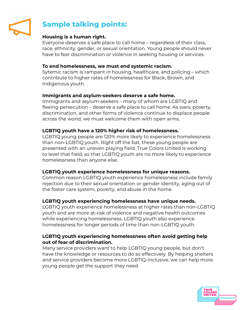

# **Sample talking points:**

### **Housing is a human right.**

Everyone deserves a safe place to call home – regardless of their class, race, ethnicity, gender, or sexual orientation. Young people should never have to fear discrimination or violence in seeking housing or services.

#### **To end homelessness, we must end systemic racism.**

Sytemic racism is rampant in housing, healthcare, and policing – which contribute to higher rates of homelessness for Black, Brown, and Indigenous youth.

#### **Immigrants and asylum-seekers deserve a safe home.**

Immigrants and asylum-seekers – many of whom are LGBTIQ and fleeing persecution – deserve a safe place to call home. As wars, poverty, discrimination, and other forms of violence continue to displace people across the world, we must welcome them with open arms.

#### **LGBTIQ youth have a 120% higher risk of homelessness.**

LGBTIQ young people are 120% more likely to experience homelessness than non-LGBTIQ youth. Right off the bat, these young people are presented with an uneven playing field. True Colors United is working to level that field, so that LGBTIQ youth are no more likely to experience homelessness than anyone else.

#### **LGBTIQ youth experience homelessness for unique reasons.**

Common reason LGBTIQ youth experience homelessness include family rejection due to their sexual orientation or gender identity, aging out of the foster care system, poverty, and abuse in the home.

#### **LGBTIQ youth experiencing homelessness have unique needs.**

LGBTIQ youth experience homelessness at higher rates than non-LGBTIQ youth and are more at-risk of violence and negative health outcomes while experiencing homelessness. LGBTIQ youth also experience homelessness for longer periods of time than non-LGBTIQ youth.

#### **LGBTIQ youth experiencing homelessness often avoid getting help out of fear of discrimination.**

Many service providers want to help LGBTIQ young people, but don't have the knowledge or resources to do so effectively. By helping shelters and service providers become more LGBTIQ-inclusive, we can help more young people get the support they need.